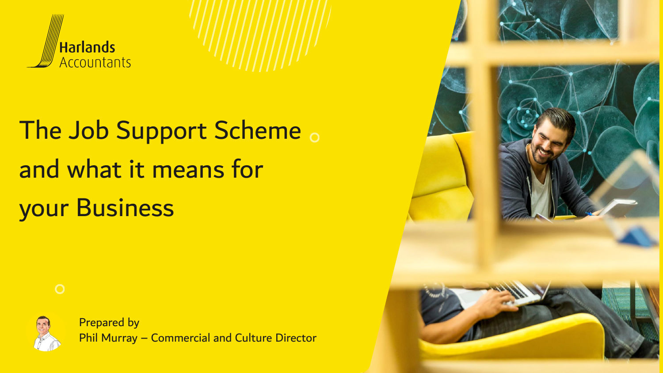

## The Job Support Scheme . and what it means for your Business





Prepared by Phil Murray – Commercial and Culture Director

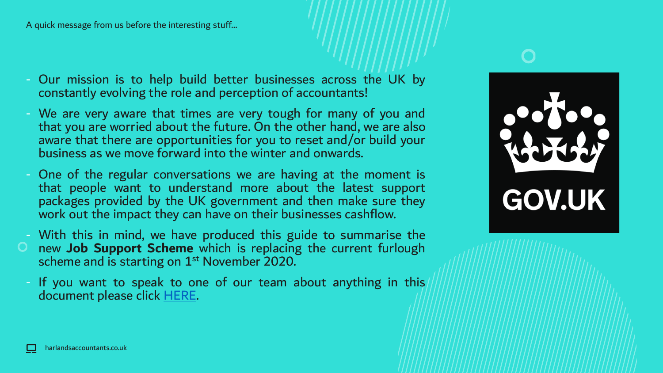A quick message from us before the interesting stuff…

- Our mission is to help build better businesses across the UK by constantly evolving the role and perception of accountants!
- We are very aware that times are very tough for many of you and that you are worried about the future. On the other hand, we are also aware that there are opportunities for you to reset and/or build your business as we move forward into the winter and onwards.
- One of the regular conversations we are having at the moment is that people want to understand more about the latest support packages provided by the UK government and then make sure they work out the impact they can have on their businesses cashflow.
- With this in mind, we have produced this guide to summarise the new **Job Support Scheme** which is replacing the current furlough scheme and is starting on 1<sup>st</sup> November 2020.
	- If you want to speak to one of our team about anything in this document please click [HERE.](https://www.harlandsaccountants.co.uk/contact)



harlandsaccountants.co.uk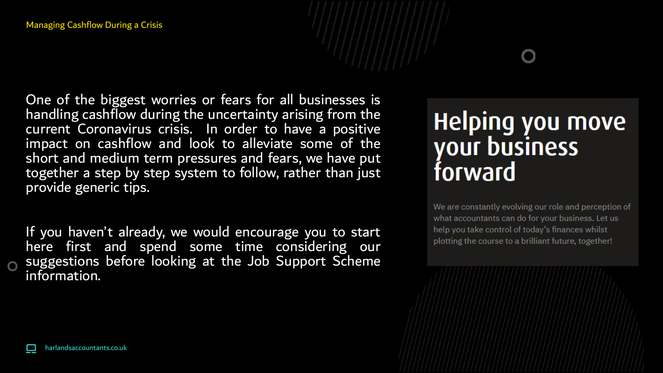One of the biggest worries or fears for all businesses is handling cashflow during the uncertainty arising from the current Coronavirus crisis. In order to have a positive impact on cashflow and look to alleviate some of the short and medium term pressures and fears, we have put together a step by step system to follow, rather than just provide generic tips.

If you haven't already, we would encourage you to start here first and spend some time considering our suggestions before looking at the Job Support Scheme information.

### **Helping you move** your business forward

We are constantly evolving our role and perception of what accountants can do for your business. Let us help you take control of today's finances whilst plotting the course to a brilliant future, together!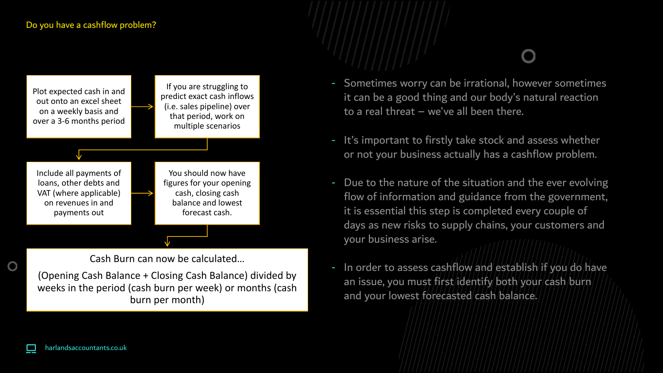Plot expected cash in and out onto an excel sheet on a weekly basis and over a 3-6 months period If you are struggling to predict exact cash inflows (i.e. sales pipeline) over that period, work on multiple scenarios Include all payments of loans, other debts and VAT (where applicable) on revenues in and payments out You should now have figures for your opening cash, closing cash balance and lowest forecast cash. Cash Burn can now be calculated…

(Opening Cash Balance + Closing Cash Balance) divided by weeks in the period (cash burn per week) or months (cash burn per month)

- Sometimes worry can be irrational, however sometimes it can be a good thing and our body's natural reaction to a real threat – we've all been there.
- It's important to firstly take stock and assess whether or not your business actually has a cashflow problem.
- Due to the nature of the situation and the ever evolving flow of information and guidance from the government, it is essential this step is completed every couple of days as new risks to supply chains, your customers and your business arise.
- In order to assess cashflow and establish if you do have an issue, you must first identify both your cash burn and your lowest forecasted cash balance.

 $\mathbf O$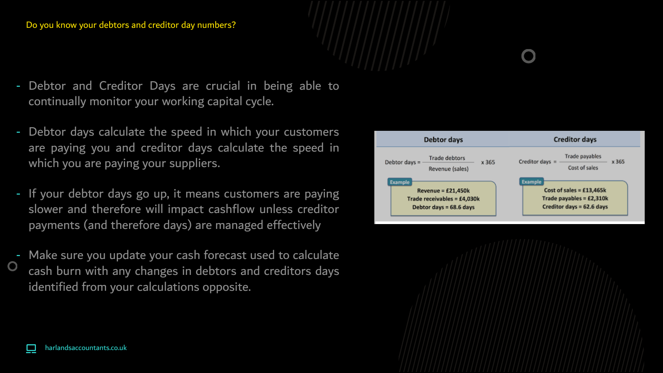### Do you know your debtors and creditor day numbers?

- Debtor and Creditor Days are crucial in being able to continually monitor your working capital cycle.
- Debtor days calculate the speed in which your customers are paying you and creditor days calculate the speed in which you are paying your suppliers.
- If your debtor days go up, it means customers are paying slower and therefore will impact cashflow unless creditor payments (and therefore days) are managed effectively
- Make sure you update your cash forecast used to calculate cash burn with any changes in debtors and creditors days identified from your calculations opposite.



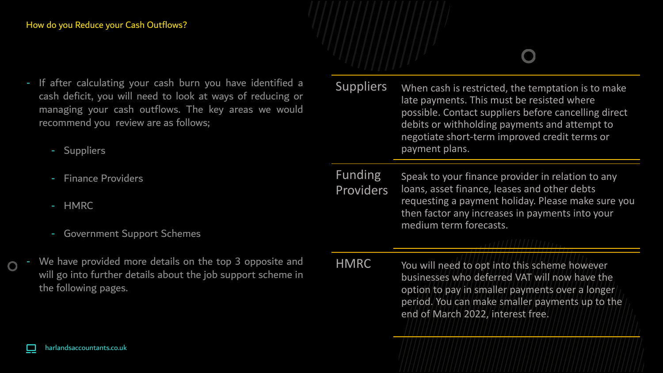### How do you Reduce your Cash Outflows?

- If after calculating your cash burn you have identified a cash deficit, you will need to look at ways of reducing or managing your cash outflows. The key areas we would recommend you review are as follows;
	- Suppliers
	- Finance Providers
	- HMRC
	- Government Support Schemes
- We have provided more details on the top 3 opposite and will go into further details about the job support scheme in the following pages.

| <b>Suppliers</b> | When cash is restricted, the temptation is to make<br>late payments. This must be resisted where<br>possible. Contact suppliers before cancelling direct<br>debits or withholding payments and attempt to |
|------------------|-----------------------------------------------------------------------------------------------------------------------------------------------------------------------------------------------------------|
|                  | negotiate short-term improved credit terms or<br>payment plans.                                                                                                                                           |

Funding Providers Speak to your finance provider in relation to any loans, asset finance, leases and other debts requesting a payment holiday. Please make sure you then factor any increases in payments into your medium term forecasts.

HMRC You will need to opt into this scheme however businesses who deferred VAT will now have the option to pay in smaller payments over a longer period. You can make smaller payments up to the end of March 2022, interest free.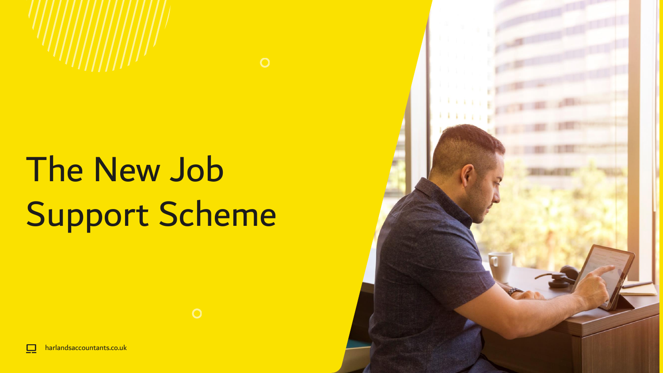

# The New Job Support Scheme



 $\Box$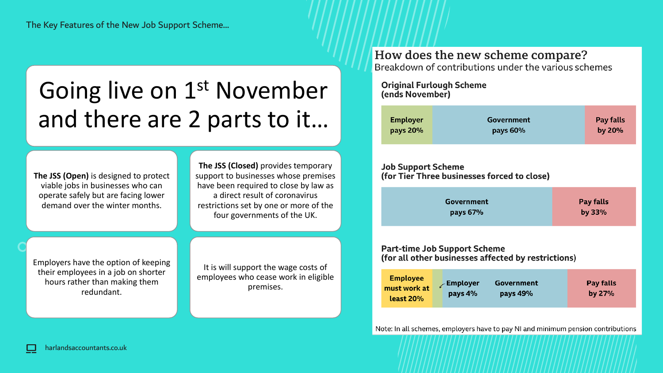## Going live on 1<sup>st</sup> November and there are 2 parts to it…

**The JSS (Open)** is designed to protect viable jobs in businesses who can operate safely but are facing lower demand over the winter months.

**The JSS (Closed)** provides temporary support to businesses whose premises have been required to close by law as a direct result of coronavirus restrictions set by one or more of the four governments of the UK.

Employers have the option of keeping their employees in a job on shorter hours rather than making them redundant.

It is will support the wage costs of employees who cease work in eligible premises.

### How does the new scheme compare?

Breakdown of contributions under the various schemes

**Original Furlough Scheme** (ends November)

| <b>Employer</b> | Government | Pay falls |
|-----------------|------------|-----------|
| pays 20%        | pays 60%   | by $20%$  |
|                 |            |           |

### **Job Support Scheme** (for Tier Three businesses forced to close)

| Government | Pay falls |
|------------|-----------|
| pays 67%   | by $33%$  |

#### **Part-time Job Support Scheme** (for all other businesses affected by restrictions)

| <b>Employee</b><br>must work at<br>least 20% | Employer<br>pays 4% | <b>Government</b><br>pays 49% | Pay falls<br>by $27%$ |
|----------------------------------------------|---------------------|-------------------------------|-----------------------|
|----------------------------------------------|---------------------|-------------------------------|-----------------------|

Note: In all schemes, employers have to pay NI and minimum pension contributions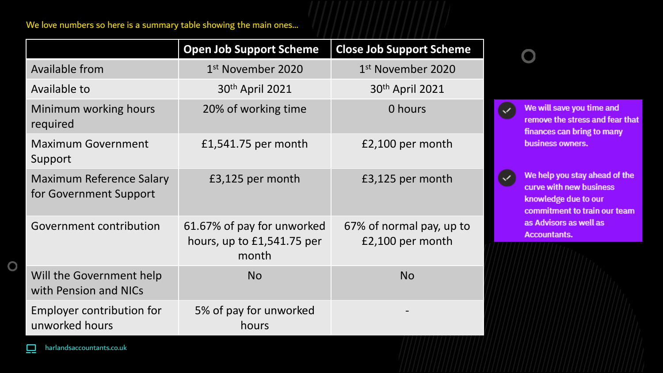We love numbers so here is a summary table showing the main ones…

|                                                    | <b>Open Job Support Scheme</b>                                      | <b>Close Job Support Scheme</b>              |
|----------------------------------------------------|---------------------------------------------------------------------|----------------------------------------------|
| Available from                                     | 1 <sup>st</sup> November 2020                                       | 1st November 2020                            |
| Available to                                       | 30th April 2021                                                     | 30 <sup>th</sup> April 2021                  |
| Minimum working hours<br>required                  | 20% of working time                                                 | 0 hours                                      |
| <b>Maximum Government</b><br>Support               | £1,541.75 per month                                                 | £2,100 per month                             |
| Maximum Reference Salary<br>for Government Support | £3,125 per month                                                    | £3,125 per month                             |
| Government contribution                            | 61.67% of pay for unworked<br>hours, up to $£1,541.75$ per<br>month | 67% of normal pay, up to<br>£2,100 per month |
| Will the Government help<br>with Pension and NICs  | <b>No</b>                                                           | <b>No</b>                                    |
| Employer contribution for<br>unworked hours        | 5% of pay for unworked<br>hours                                     |                                              |

 $\bullet$ We will save you time and remove the stress and fear that finances can bring to many business owners.

> We help you stay ahead of the curve with new business knowledge due to our commitment to train our team as Advisors as well as **Accountants.**

 $\bullet$ 

 $\overline{O}$ 

Ю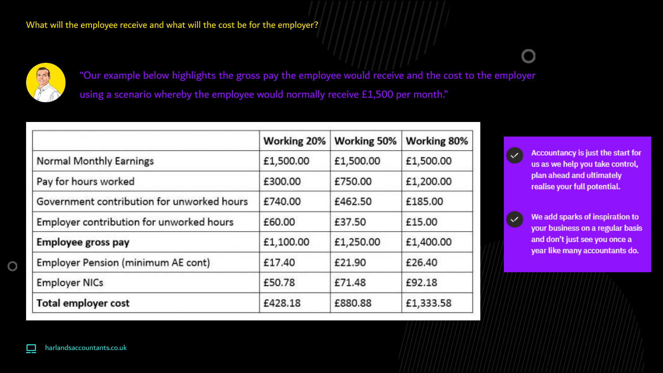

"Our example below highlights the gross pay the employee would receive and the cost to the employer using a scenario whereby the employee would normally receive £1,500 per month."

|                                            | Working 20% | Working 50% | Working 80% |
|--------------------------------------------|-------------|-------------|-------------|
| <b>Normal Monthly Earnings</b>             | £1,500.00   | £1,500.00   | £1,500.00   |
| Pay for hours worked                       | £300.00     | £750.00     | £1,200.00   |
| Government contribution for unworked hours | £740.00     | £462.50     | £185.00     |
| Employer contribution for unworked hours   | £60.00      | £37.50      | £15.00      |
| <b>Employee gross pay</b>                  | £1,100.00   | £1,250.00   | £1,400.00   |
| <b>Employer Pension (minimum AE cont)</b>  | £17.40      | £21.90      | £26.40      |
| <b>Employer NICs</b>                       | £50.78      | £71.48      | £92.18      |
| <b>Total employer cost</b>                 | £428.18     | £880.88     | £1,333.58   |



Accountancy is just the start for us as we help you take control, plan ahead and ultimately realise your full potential.



We add sparks of inspiration to your business on a regular basis and don't just see you once a year like many accountants do.

harlandsaccountants.co.uk

O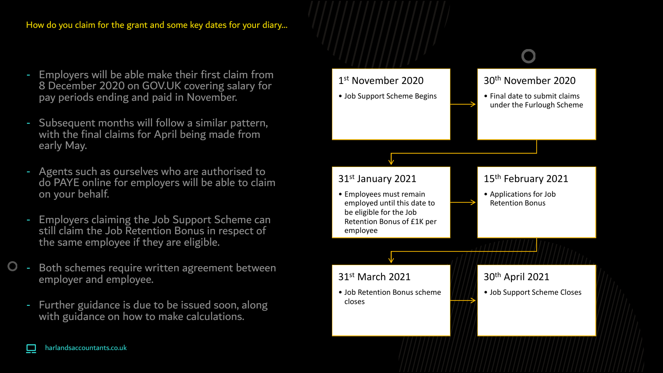How do you claim for the grant and some key dates for your diary…

- Employers will be able make their first claim from 8 December 2020 on GOV.UK covering salary for pay periods ending and paid in November.
- Subsequent months will follow a similar pattern, with the final claims for April being made from early May.
- Agents such as ourselves who are authorised to do PAYE online for employers will be able to claim on your behalf.
- Employers claiming the Job Support Scheme can still claim the Job Retention Bonus in respect of the same employee if they are eligible.
- Both schemes require written agreement between employer and employee.
	- Further guidance is due to be issued soon, along with guidance on how to make calculations.